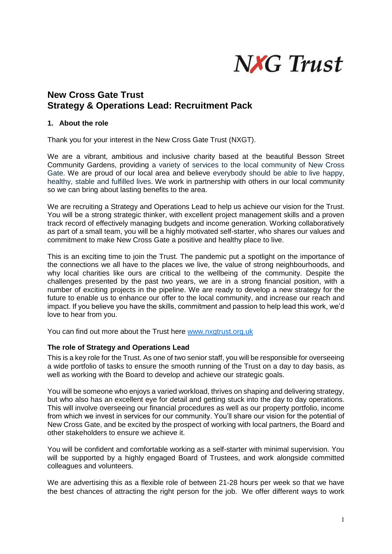

# **New Cross Gate Trust Strategy & Operations Lead: Recruitment Pack**

#### **1. About the role**

Thank you for your interest in the New Cross Gate Trust (NXGT).

We are a vibrant, ambitious and inclusive charity based at the beautiful Besson Street Community Gardens, providing a variety of services to the local community of New Cross Gate. We are proud of our local area and believe everybody should be able to live happy, healthy, stable and fulfilled lives. We work in partnership with others in our local community so we can bring about lasting benefits to the area.

We are recruiting a Strategy and Operations Lead to help us achieve our vision for the Trust. You will be a strong strategic thinker, with excellent project management skills and a proven track record of effectively managing budgets and income generation. Working collaboratively as part of a small team, you will be a highly motivated self-starter, who shares our values and commitment to make New Cross Gate a positive and healthy place to live.

This is an exciting time to join the Trust. The pandemic put a spotlight on the importance of the connections we all have to the places we live, the value of strong neighbourhoods, and why local charities like ours are critical to the wellbeing of the community. Despite the challenges presented by the past two years, we are in a strong financial position, with a number of exciting projects in the pipeline. We are ready to develop a new strategy for the future to enable us to enhance our offer to the local community, and increase our reach and impact. If you believe you have the skills, commitment and passion to help lead this work, we'd love to hear from you.

You can find out more about the Trust here [www.nxgtrust.org.uk](http://www.nxgtrust.org.uk/)

#### **The role of Strategy and Operations Lead**

This is a key role for the Trust. As one of two senior staff, you will be responsible for overseeing a wide portfolio of tasks to ensure the smooth running of the Trust on a day to day basis, as well as working with the Board to develop and achieve our strategic goals.

You will be someone who enjoys a varied workload, thrives on shaping and delivering strategy, but who also has an excellent eye for detail and getting stuck into the day to day operations. This will involve overseeing our financial procedures as well as our property portfolio, income from which we invest in services for our community. You'll share our vision for the potential of New Cross Gate, and be excited by the prospect of working with local partners, the Board and other stakeholders to ensure we achieve it.

You will be confident and comfortable working as a self-starter with minimal supervision. You will be supported by a highly engaged Board of Trustees, and work alongside committed colleagues and volunteers.

We are advertising this as a flexible role of between 21-28 hours per week so that we have the best chances of attracting the right person for the job. We offer different ways to work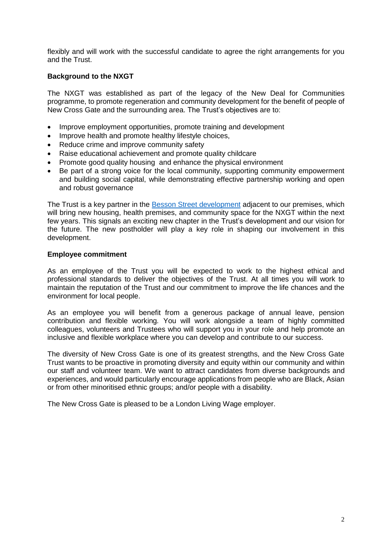flexibly and will work with the successful candidate to agree the right arrangements for you and the Trust.

#### **Background to the NXGT**

The NXGT was established as part of the legacy of the New Deal for Communities programme, to promote regeneration and community development for the benefit of people of New Cross Gate and the surrounding area. The Trust's objectives are to:

- Improve employment opportunities, promote training and development
- Improve health and promote healthy lifestyle choices,
- Reduce crime and improve community safety
- Raise educational achievement and promote quality childcare
- Promote good quality housing and enhance the physical environment
- Be part of a strong voice for the local community, supporting community empowerment and building social capital, while demonstrating effective partnership working and open and robust governance

The Trust is a key partner in the [Besson Street development](https://lewisham.gov.uk/inmyarea/regeneration/deptford/besson-street-development-in-new-cross) adjacent to our premises, which will bring new housing, health premises, and community space for the NXGT within the next few years. This signals an exciting new chapter in the Trust's development and our vision for the future. The new postholder will play a key role in shaping our involvement in this development.

#### **Employee commitment**

As an employee of the Trust you will be expected to work to the highest ethical and professional standards to deliver the objectives of the Trust. At all times you will work to maintain the reputation of the Trust and our commitment to improve the life chances and the environment for local people.

As an employee you will benefit from a generous package of annual leave, pension contribution and flexible working*.* You will work alongside a team of highly committed colleagues, volunteers and Trustees who will support you in your role and help promote an inclusive and flexible workplace where you can develop and contribute to our success.

The diversity of New Cross Gate is one of its greatest strengths, and the New Cross Gate Trust wants to be proactive in promoting diversity and equity within our community and within our staff and volunteer team. We want to attract candidates from diverse backgrounds and experiences, and would particularly encourage applications from people who are Black, Asian or from other minoritised ethnic groups; and/or people with a disability.

The New Cross Gate is pleased to be a London Living Wage employer.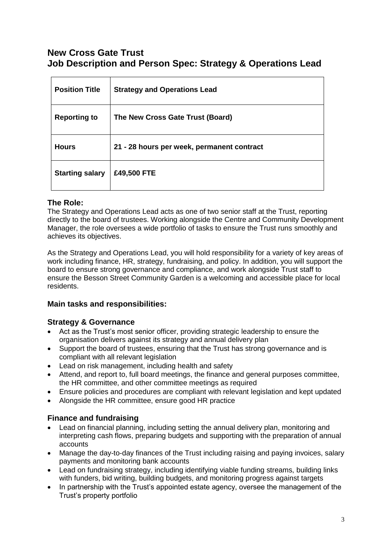# **New Cross Gate Trust Job Description and Person Spec: Strategy & Operations Lead**

| <b>Position Title</b>  | <b>Strategy and Operations Lead</b>        |
|------------------------|--------------------------------------------|
| <b>Reporting to</b>    | The New Cross Gate Trust (Board)           |
| <b>Hours</b>           | 21 - 28 hours per week, permanent contract |
| <b>Starting salary</b> | £49,500 FTE                                |

# **The Role:**

The Strategy and Operations Lead acts as one of two senior staff at the Trust, reporting directly to the board of trustees. Working alongside the Centre and Community Development Manager, the role oversees a wide portfolio of tasks to ensure the Trust runs smoothly and achieves its objectives.

As the Strategy and Operations Lead, you will hold responsibility for a variety of key areas of work including finance, HR, strategy, fundraising, and policy. In addition, you will support the board to ensure strong governance and compliance, and work alongside Trust staff to ensure the Besson Street Community Garden is a welcoming and accessible place for local residents.

## **Main tasks and responsibilities:**

## **Strategy & Governance**

- Act as the Trust's most senior officer, providing strategic leadership to ensure the organisation delivers against its strategy and annual delivery plan
- Support the board of trustees, ensuring that the Trust has strong governance and is compliant with all relevant legislation
- Lead on risk management, including health and safety
- Attend, and report to, full board meetings, the finance and general purposes committee, the HR committee, and other committee meetings as required
- Ensure policies and procedures are compliant with relevant legislation and kept updated
- Alongside the HR committee, ensure good HR practice

## **Finance and fundraising**

- Lead on financial planning, including setting the annual delivery plan, monitoring and interpreting cash flows, preparing budgets and supporting with the preparation of annual accounts
- Manage the day-to-day finances of the Trust including raising and paying invoices, salary payments and monitoring bank accounts
- Lead on fundraising strategy, including identifying viable funding streams, building links with funders, bid writing, building budgets, and monitoring progress against targets
- In partnership with the Trust's appointed estate agency, oversee the management of the Trust's property portfolio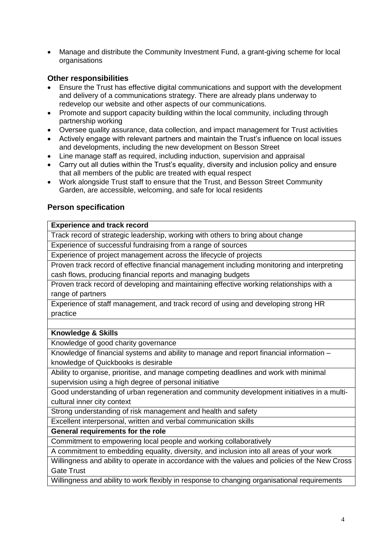Manage and distribute the Community Investment Fund, a grant-giving scheme for local organisations

# **Other responsibilities**

- Ensure the Trust has effective digital communications and support with the development and delivery of a communications strategy. There are already plans underway to redevelop our website and other aspects of our communications.
- Promote and support capacity building within the local community, including through partnership working
- Oversee quality assurance, data collection, and impact management for Trust activities
- Actively engage with relevant partners and maintain the Trust's influence on local issues and developments, including the new development on Besson Street
- Line manage staff as required, including induction, supervision and appraisal
- Carry out all duties within the Trust's equality, diversity and inclusion policy and ensure that all members of the public are treated with equal respect
- Work alongside Trust staff to ensure that the Trust, and Besson Street Community Garden, are accessible, welcoming, and safe for local residents

## **Person specification**

#### **Experience and track record**

Track record of strategic leadership, working with others to bring about change

Experience of successful fundraising from a range of sources

Experience of project management across the lifecycle of projects

Proven track record of effective financial management including monitoring and interpreting cash flows, producing financial reports and managing budgets

Proven track record of developing and maintaining effective working relationships with a range of partners

Experience of staff management, and track record of using and developing strong HR practice

## **Knowledge & Skills**

Knowledge of good charity governance

Knowledge of financial systems and ability to manage and report financial information – knowledge of Quickbooks is desirable

Ability to organise, prioritise, and manage competing deadlines and work with minimal supervision using a high degree of personal initiative

Good understanding of urban regeneration and community development initiatives in a multicultural inner city context

Strong understanding of risk management and health and safety

Excellent interpersonal, written and verbal communication skills

**General requirements for the role**

Commitment to empowering local people and working collaboratively

A commitment to embedding equality, diversity, and inclusion into all areas of your work

Willingness and ability to operate in accordance with the values and policies of the New Cross Gate Trust

Willingness and ability to work flexibly in response to changing organisational requirements